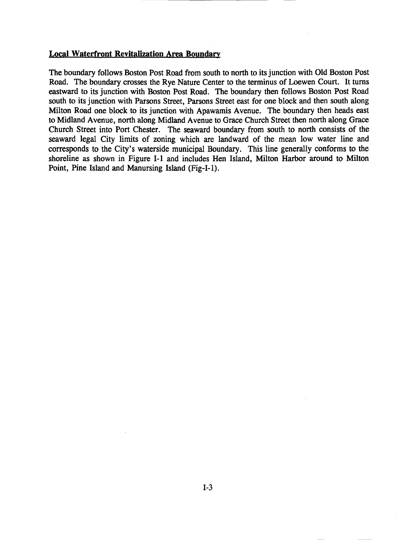## Local Waterfront Revitalization Area Boundary

The boundary follows Boston Post Road from south to north to its junction with Old Boston Post Road. The boundary crosses the Rye Nature Center to the terminus of Loewen Court. It turns eastward to its junction with Boston Post Road. The boundary then follows Boston Post Road south to its junction with Parsons Street, Parsons Street east for one block and then south along Milton Road one block to its junction with Apawamis Avenue. The boundary then heads east to Midland Avenue, north along Midland Avenue to Grace Church Street then north along Grace Church Street into Port Chester. The seaward boundary from south to north consists of the seaward legal City limits of zoning which are landward of the mean low water line and corresponds to the City's waterside municipal Boundary. This line generally conforms to the shoreline as shown in Figure 1-1 and includes Hen Island, Milton Harbor around to Milton Point, Pine Island and Manursing Island (Fig-I-I).